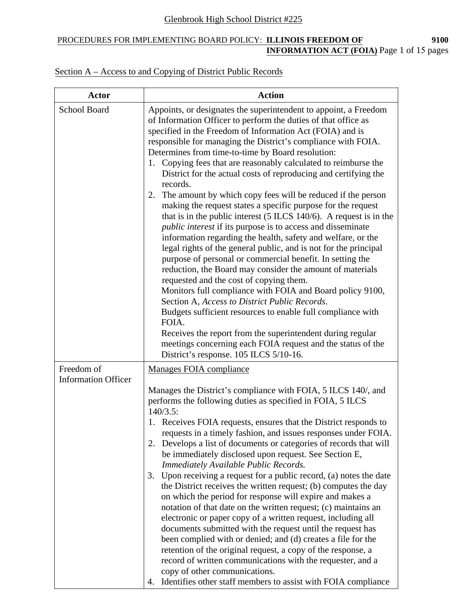# PROCEDURES FOR IMPLEMENTING BOARD POLICY: **ILLINOIS FREEDOM OF 9100 INFORMATION ACT (FOIA)** Page 1 of 15 pages

# Section A – Access to and Copying of District Public Records

| <b>Actor</b>                             | <b>Action</b>                                                                                                                                                                                                                                                                                                                                                                                                                                                                                                                                                                                                                                                                                                                                                                                                                                                                                                                                                                                                                                                                                                                                                                                                                                                                                                                                                                                                              |  |  |  |
|------------------------------------------|----------------------------------------------------------------------------------------------------------------------------------------------------------------------------------------------------------------------------------------------------------------------------------------------------------------------------------------------------------------------------------------------------------------------------------------------------------------------------------------------------------------------------------------------------------------------------------------------------------------------------------------------------------------------------------------------------------------------------------------------------------------------------------------------------------------------------------------------------------------------------------------------------------------------------------------------------------------------------------------------------------------------------------------------------------------------------------------------------------------------------------------------------------------------------------------------------------------------------------------------------------------------------------------------------------------------------------------------------------------------------------------------------------------------------|--|--|--|
| <b>School Board</b>                      | Appoints, or designates the superintendent to appoint, a Freedom<br>of Information Officer to perform the duties of that office as<br>specified in the Freedom of Information Act (FOIA) and is<br>responsible for managing the District's compliance with FOIA.<br>Determines from time-to-time by Board resolution:<br>1. Copying fees that are reasonably calculated to reimburse the<br>District for the actual costs of reproducing and certifying the<br>records.<br>The amount by which copy fees will be reduced if the person<br>making the request states a specific purpose for the request<br>that is in the public interest $(5$ ILCS 140/6). A request is in the<br><i>public interest</i> if its purpose is to access and disseminate<br>information regarding the health, safety and welfare, or the<br>legal rights of the general public, and is not for the principal<br>purpose of personal or commercial benefit. In setting the<br>reduction, the Board may consider the amount of materials<br>requested and the cost of copying them.<br>Monitors full compliance with FOIA and Board policy 9100,<br>Section A, Access to District Public Records.<br>Budgets sufficient resources to enable full compliance with<br>FOIA.<br>Receives the report from the superintendent during regular<br>meetings concerning each FOIA request and the status of the<br>District's response. 105 ILCS 5/10-16. |  |  |  |
| Freedom of<br><b>Information Officer</b> | Manages FOIA compliance<br>Manages the District's compliance with FOIA, 5 ILCS 140/, and<br>performs the following duties as specified in FOIA, 5 ILCS<br>$140/3.5$ :<br>1. Receives FOIA requests, ensures that the District responds to<br>requests in a timely fashion, and issues responses under FOIA.<br>2. Develops a list of documents or categories of records that will<br>be immediately disclosed upon request. See Section E,<br><b>Immediately Available Public Records.</b><br>3. Upon receiving a request for a public record, (a) notes the date<br>the District receives the written request; (b) computes the day<br>on which the period for response will expire and makes a<br>notation of that date on the written request; (c) maintains an<br>electronic or paper copy of a written request, including all<br>documents submitted with the request until the request has<br>been complied with or denied; and (d) creates a file for the<br>retention of the original request, a copy of the response, a<br>record of written communications with the requester, and a<br>copy of other communications.<br>Identifies other staff members to assist with FOIA compliance<br>4.                                                                                                                                                                                                                     |  |  |  |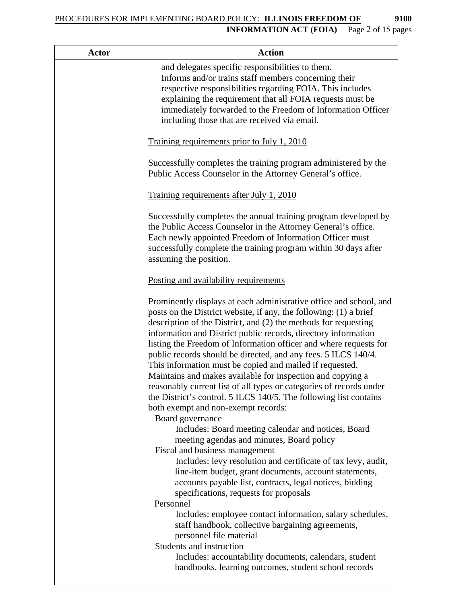# PROCEDURES FOR IMPLEMENTING BOARD POLICY: **ILLINOIS FREEDOM OF 9100 INFORMATION ACT (FOIA)** Page 2 of 15 pages

| <b>Actor</b> | <b>Action</b>                                                                                                                                                                                                                                                                                                                                                                                                                                                                                                                                                                                                                                                                                                                                                                                                                                                                                                                                                                                                                                                                                                                                                                                                                                                                                                                                                                                                                       |  |  |  |
|--------------|-------------------------------------------------------------------------------------------------------------------------------------------------------------------------------------------------------------------------------------------------------------------------------------------------------------------------------------------------------------------------------------------------------------------------------------------------------------------------------------------------------------------------------------------------------------------------------------------------------------------------------------------------------------------------------------------------------------------------------------------------------------------------------------------------------------------------------------------------------------------------------------------------------------------------------------------------------------------------------------------------------------------------------------------------------------------------------------------------------------------------------------------------------------------------------------------------------------------------------------------------------------------------------------------------------------------------------------------------------------------------------------------------------------------------------------|--|--|--|
|              | and delegates specific responsibilities to them.<br>Informs and/or trains staff members concerning their<br>respective responsibilities regarding FOIA. This includes<br>explaining the requirement that all FOIA requests must be<br>immediately forwarded to the Freedom of Information Officer<br>including those that are received via email.                                                                                                                                                                                                                                                                                                                                                                                                                                                                                                                                                                                                                                                                                                                                                                                                                                                                                                                                                                                                                                                                                   |  |  |  |
|              | Training requirements prior to July 1, 2010                                                                                                                                                                                                                                                                                                                                                                                                                                                                                                                                                                                                                                                                                                                                                                                                                                                                                                                                                                                                                                                                                                                                                                                                                                                                                                                                                                                         |  |  |  |
|              | Successfully completes the training program administered by the<br>Public Access Counselor in the Attorney General's office.                                                                                                                                                                                                                                                                                                                                                                                                                                                                                                                                                                                                                                                                                                                                                                                                                                                                                                                                                                                                                                                                                                                                                                                                                                                                                                        |  |  |  |
|              | Training requirements after July 1, 2010                                                                                                                                                                                                                                                                                                                                                                                                                                                                                                                                                                                                                                                                                                                                                                                                                                                                                                                                                                                                                                                                                                                                                                                                                                                                                                                                                                                            |  |  |  |
|              | Successfully completes the annual training program developed by<br>the Public Access Counselor in the Attorney General's office.<br>Each newly appointed Freedom of Information Officer must<br>successfully complete the training program within 30 days after<br>assuming the position.                                                                                                                                                                                                                                                                                                                                                                                                                                                                                                                                                                                                                                                                                                                                                                                                                                                                                                                                                                                                                                                                                                                                           |  |  |  |
|              | Posting and availability requirements                                                                                                                                                                                                                                                                                                                                                                                                                                                                                                                                                                                                                                                                                                                                                                                                                                                                                                                                                                                                                                                                                                                                                                                                                                                                                                                                                                                               |  |  |  |
|              | Prominently displays at each administrative office and school, and<br>posts on the District website, if any, the following: (1) a brief<br>description of the District, and (2) the methods for requesting<br>information and District public records, directory information<br>listing the Freedom of Information officer and where requests for<br>public records should be directed, and any fees. 5 ILCS 140/4.<br>This information must be copied and mailed if requested.<br>Maintains and makes available for inspection and copying a<br>reasonably current list of all types or categories of records under<br>the District's control. 5 ILCS 140/5. The following list contains<br>both exempt and non-exempt records:<br>Board governance<br>Includes: Board meeting calendar and notices, Board<br>meeting agendas and minutes, Board policy<br>Fiscal and business management<br>Includes: levy resolution and certificate of tax levy, audit,<br>line-item budget, grant documents, account statements,<br>accounts payable list, contracts, legal notices, bidding<br>specifications, requests for proposals<br>Personnel<br>Includes: employee contact information, salary schedules,<br>staff handbook, collective bargaining agreements,<br>personnel file material<br>Students and instruction<br>Includes: accountability documents, calendars, student<br>handbooks, learning outcomes, student school records |  |  |  |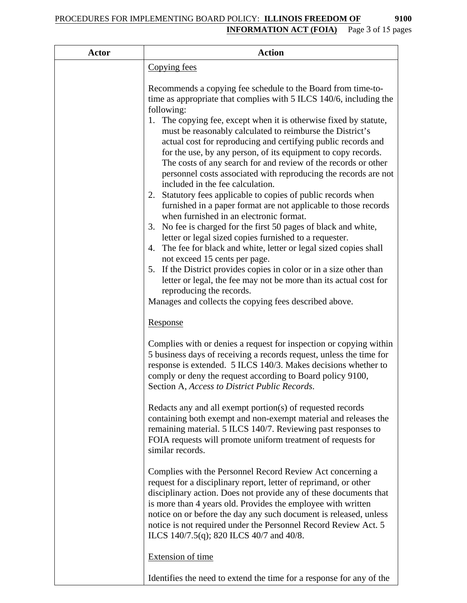## PROCEDURES FOR IMPLEMENTING BOARD POLICY: **ILLINOIS FREEDOM OF 9100 INFORMATION ACT (FOIA)** Page 3 of 15 pages

| <b>Actor</b> | <b>Action</b>                                                                                                                                                                                                                                                                                                                                                                                                                                                                                                                                                                                                                                                                                                                                                                                                                                                                                                                                                                                                                                                                                                                                                                               |  |  |  |  |
|--------------|---------------------------------------------------------------------------------------------------------------------------------------------------------------------------------------------------------------------------------------------------------------------------------------------------------------------------------------------------------------------------------------------------------------------------------------------------------------------------------------------------------------------------------------------------------------------------------------------------------------------------------------------------------------------------------------------------------------------------------------------------------------------------------------------------------------------------------------------------------------------------------------------------------------------------------------------------------------------------------------------------------------------------------------------------------------------------------------------------------------------------------------------------------------------------------------------|--|--|--|--|
|              | Copying fees                                                                                                                                                                                                                                                                                                                                                                                                                                                                                                                                                                                                                                                                                                                                                                                                                                                                                                                                                                                                                                                                                                                                                                                |  |  |  |  |
|              | Recommends a copying fee schedule to the Board from time-to-<br>time as appropriate that complies with 5 ILCS 140/6, including the<br>following:<br>The copying fee, except when it is otherwise fixed by statute,<br>1.<br>must be reasonably calculated to reimburse the District's<br>actual cost for reproducing and certifying public records and<br>for the use, by any person, of its equipment to copy records.<br>The costs of any search for and review of the records or other<br>personnel costs associated with reproducing the records are not<br>included in the fee calculation.<br>2. Statutory fees applicable to copies of public records when<br>furnished in a paper format are not applicable to those records<br>when furnished in an electronic format.<br>3. No fee is charged for the first 50 pages of black and white,<br>letter or legal sized copies furnished to a requester.<br>4. The fee for black and white, letter or legal sized copies shall<br>not exceed 15 cents per page.<br>5. If the District provides copies in color or in a size other than<br>letter or legal, the fee may not be more than its actual cost for<br>reproducing the records. |  |  |  |  |
|              | Manages and collects the copying fees described above.                                                                                                                                                                                                                                                                                                                                                                                                                                                                                                                                                                                                                                                                                                                                                                                                                                                                                                                                                                                                                                                                                                                                      |  |  |  |  |
|              | Response                                                                                                                                                                                                                                                                                                                                                                                                                                                                                                                                                                                                                                                                                                                                                                                                                                                                                                                                                                                                                                                                                                                                                                                    |  |  |  |  |
|              | Complies with or denies a request for inspection or copying within<br>5 business days of receiving a records request, unless the time for<br>response is extended. 5 ILCS 140/3. Makes decisions whether to<br>comply or deny the request according to Board policy 9100,<br>Section A, Access to District Public Records.                                                                                                                                                                                                                                                                                                                                                                                                                                                                                                                                                                                                                                                                                                                                                                                                                                                                  |  |  |  |  |
|              | Redacts any and all exempt portion(s) of requested records<br>containing both exempt and non-exempt material and releases the<br>remaining material. 5 ILCS 140/7. Reviewing past responses to<br>FOIA requests will promote uniform treatment of requests for<br>similar records.                                                                                                                                                                                                                                                                                                                                                                                                                                                                                                                                                                                                                                                                                                                                                                                                                                                                                                          |  |  |  |  |
|              | Complies with the Personnel Record Review Act concerning a<br>request for a disciplinary report, letter of reprimand, or other<br>disciplinary action. Does not provide any of these documents that<br>is more than 4 years old. Provides the employee with written<br>notice on or before the day any such document is released, unless<br>notice is not required under the Personnel Record Review Act. 5<br>ILCS $140/7.5(q)$ ; 820 ILCS $40/7$ and $40/8$ .                                                                                                                                                                                                                                                                                                                                                                                                                                                                                                                                                                                                                                                                                                                             |  |  |  |  |
|              | <b>Extension of time</b>                                                                                                                                                                                                                                                                                                                                                                                                                                                                                                                                                                                                                                                                                                                                                                                                                                                                                                                                                                                                                                                                                                                                                                    |  |  |  |  |
|              | Identifies the need to extend the time for a response for any of the                                                                                                                                                                                                                                                                                                                                                                                                                                                                                                                                                                                                                                                                                                                                                                                                                                                                                                                                                                                                                                                                                                                        |  |  |  |  |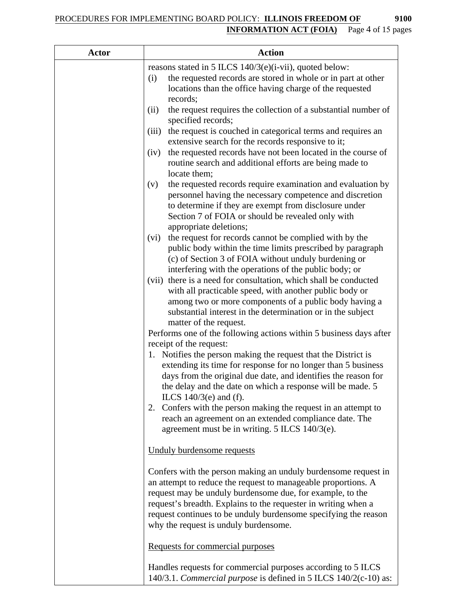### PROCEDURES FOR IMPLEMENTING BOARD POLICY: **ILLINOIS FREEDOM OF 9100 INFORMATION ACT (FOIA)** Page 4 of 15 pages

| Actor | <b>Action</b>                                                                                                                                                                                                                                                                                                                                                              |  |  |  |
|-------|----------------------------------------------------------------------------------------------------------------------------------------------------------------------------------------------------------------------------------------------------------------------------------------------------------------------------------------------------------------------------|--|--|--|
|       | reasons stated in 5 ILCS 140/3(e)(i-vii), quoted below:<br>the requested records are stored in whole or in part at other<br>(i)<br>locations than the office having charge of the requested                                                                                                                                                                                |  |  |  |
|       | records;<br>the request requires the collection of a substantial number of<br>(ii)<br>specified records;                                                                                                                                                                                                                                                                   |  |  |  |
|       | the request is couched in categorical terms and requires an<br>(iii)<br>extensive search for the records responsive to it;                                                                                                                                                                                                                                                 |  |  |  |
|       | the requested records have not been located in the course of<br>(iv)<br>routine search and additional efforts are being made to<br>locate them;                                                                                                                                                                                                                            |  |  |  |
|       | the requested records require examination and evaluation by<br>(v)<br>personnel having the necessary competence and discretion<br>to determine if they are exempt from disclosure under<br>Section 7 of FOIA or should be revealed only with<br>appropriate deletions;                                                                                                     |  |  |  |
|       | the request for records cannot be complied with by the<br>(vi)<br>public body within the time limits prescribed by paragraph<br>(c) of Section 3 of FOIA without unduly burdening or<br>interfering with the operations of the public body; or                                                                                                                             |  |  |  |
|       | (vii) there is a need for consultation, which shall be conducted<br>with all practicable speed, with another public body or<br>among two or more components of a public body having a<br>substantial interest in the determination or in the subject<br>matter of the request.                                                                                             |  |  |  |
|       | Performs one of the following actions within 5 business days after                                                                                                                                                                                                                                                                                                         |  |  |  |
|       | receipt of the request:<br>1. Notifies the person making the request that the District is<br>extending its time for response for no longer than 5 business<br>days from the original due date, and identifies the reason for<br>the delay and the date on which a response will be made. 5<br>ILCS $140/3$ (e) and (f).                                                    |  |  |  |
|       | 2. Confers with the person making the request in an attempt to<br>reach an agreement on an extended compliance date. The<br>agreement must be in writing. $5$ ILCS 140/3(e).                                                                                                                                                                                               |  |  |  |
|       | <b>Unduly burdensome requests</b>                                                                                                                                                                                                                                                                                                                                          |  |  |  |
|       | Confers with the person making an unduly burdensome request in<br>an attempt to reduce the request to manageable proportions. A<br>request may be unduly burdensome due, for example, to the<br>request's breadth. Explains to the requester in writing when a<br>request continues to be unduly burdensome specifying the reason<br>why the request is unduly burdensome. |  |  |  |
|       | Requests for commercial purposes                                                                                                                                                                                                                                                                                                                                           |  |  |  |
|       | Handles requests for commercial purposes according to 5 ILCS<br>140/3.1. Commercial purpose is defined in 5 ILCS 140/2(c-10) as:                                                                                                                                                                                                                                           |  |  |  |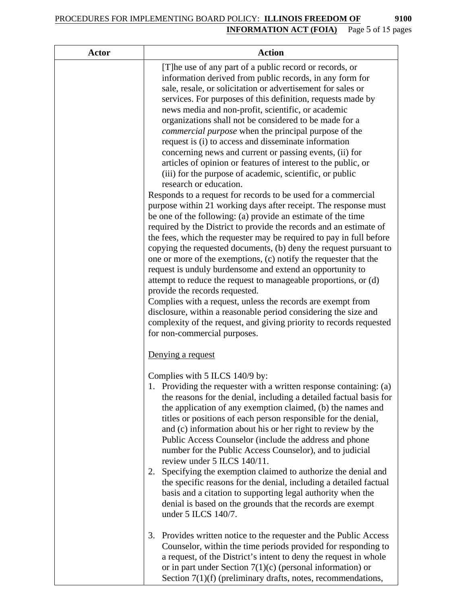## PROCEDURES FOR IMPLEMENTING BOARD POLICY: **ILLINOIS FREEDOM OF 9100 INFORMATION ACT (FOIA)** Page 5 of 15 pages

| Actor | <b>Action</b><br>[T] he use of any part of a public record or records, or                                                                                                                                                                                                                                                                                                                                                                                                                                                                                                                                                                                                                                                                                                                                                                                                                                                                                                                                                                                                                                                                                                                                                                                                                                                                                                                                                                                                                                                                     |  |  |  |  |
|-------|-----------------------------------------------------------------------------------------------------------------------------------------------------------------------------------------------------------------------------------------------------------------------------------------------------------------------------------------------------------------------------------------------------------------------------------------------------------------------------------------------------------------------------------------------------------------------------------------------------------------------------------------------------------------------------------------------------------------------------------------------------------------------------------------------------------------------------------------------------------------------------------------------------------------------------------------------------------------------------------------------------------------------------------------------------------------------------------------------------------------------------------------------------------------------------------------------------------------------------------------------------------------------------------------------------------------------------------------------------------------------------------------------------------------------------------------------------------------------------------------------------------------------------------------------|--|--|--|--|
|       | information derived from public records, in any form for<br>sale, resale, or solicitation or advertisement for sales or<br>services. For purposes of this definition, requests made by<br>news media and non-profit, scientific, or academic<br>organizations shall not be considered to be made for a<br>commercial purpose when the principal purpose of the<br>request is (i) to access and disseminate information<br>concerning news and current or passing events, (ii) for<br>articles of opinion or features of interest to the public, or<br>(iii) for the purpose of academic, scientific, or public<br>research or education.<br>Responds to a request for records to be used for a commercial<br>purpose within 21 working days after receipt. The response must<br>be one of the following: (a) provide an estimate of the time<br>required by the District to provide the records and an estimate of<br>the fees, which the requester may be required to pay in full before<br>copying the requested documents, (b) deny the request pursuant to<br>one or more of the exemptions, (c) notify the requester that the<br>request is unduly burdensome and extend an opportunity to<br>attempt to reduce the request to manageable proportions, or (d)<br>provide the records requested.<br>Complies with a request, unless the records are exempt from<br>disclosure, within a reasonable period considering the size and<br>complexity of the request, and giving priority to records requested<br>for non-commercial purposes. |  |  |  |  |
|       | Denying a request                                                                                                                                                                                                                                                                                                                                                                                                                                                                                                                                                                                                                                                                                                                                                                                                                                                                                                                                                                                                                                                                                                                                                                                                                                                                                                                                                                                                                                                                                                                             |  |  |  |  |
|       | Complies with 5 ILCS 140/9 by:<br>1. Providing the requester with a written response containing: (a)<br>the reasons for the denial, including a detailed factual basis for<br>the application of any exemption claimed, (b) the names and<br>titles or positions of each person responsible for the denial,<br>and (c) information about his or her right to review by the<br>Public Access Counselor (include the address and phone<br>number for the Public Access Counselor), and to judicial<br>review under 5 ILCS 140/11.<br>Specifying the exemption claimed to authorize the denial and<br>2.<br>the specific reasons for the denial, including a detailed factual<br>basis and a citation to supporting legal authority when the<br>denial is based on the grounds that the records are exempt<br>under 5 ILCS 140/7.                                                                                                                                                                                                                                                                                                                                                                                                                                                                                                                                                                                                                                                                                                                |  |  |  |  |
|       | Provides written notice to the requester and the Public Access<br>3.<br>Counselor, within the time periods provided for responding to<br>a request, of the District's intent to deny the request in whole<br>or in part under Section $7(1)(c)$ (personal information) or<br>Section $7(1)(f)$ (preliminary drafts, notes, recommendations,                                                                                                                                                                                                                                                                                                                                                                                                                                                                                                                                                                                                                                                                                                                                                                                                                                                                                                                                                                                                                                                                                                                                                                                                   |  |  |  |  |

 $\overline{\phantom{0}}$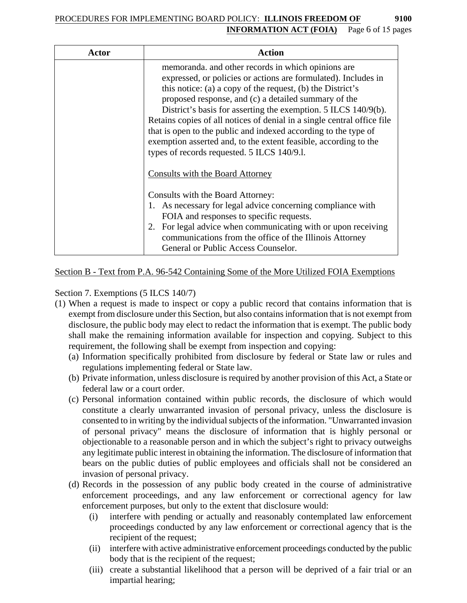## PROCEDURES FOR IMPLEMENTING BOARD POLICY: **ILLINOIS FREEDOM OF 9100 INFORMATION ACT (FOIA)** Page 6 of 15 pages

| Actor | <b>Action</b>                                                                                                                                                                                                                                                                                                                                                                                                                                                                                                                                                                 |  |  |
|-------|-------------------------------------------------------------------------------------------------------------------------------------------------------------------------------------------------------------------------------------------------------------------------------------------------------------------------------------------------------------------------------------------------------------------------------------------------------------------------------------------------------------------------------------------------------------------------------|--|--|
|       | memoranda, and other records in which opinions are<br>expressed, or policies or actions are formulated). Includes in<br>this notice: (a) a copy of the request, (b) the District's<br>proposed response, and (c) a detailed summary of the<br>District's basis for asserting the exemption. 5 ILCS 140/9(b).<br>Retains copies of all notices of denial in a single central office file<br>that is open to the public and indexed according to the type of<br>exemption asserted and, to the extent feasible, according to the<br>types of records requested. 5 ILCS 140/9.1. |  |  |
|       | Consults with the Board Attorney                                                                                                                                                                                                                                                                                                                                                                                                                                                                                                                                              |  |  |
|       | Consults with the Board Attorney:                                                                                                                                                                                                                                                                                                                                                                                                                                                                                                                                             |  |  |
|       | As necessary for legal advice concerning compliance with<br>FOIA and responses to specific requests.                                                                                                                                                                                                                                                                                                                                                                                                                                                                          |  |  |
|       | For legal advice when communicating with or upon receiving<br>2.<br>communications from the office of the Illinois Attorney<br>General or Public Access Counselor.                                                                                                                                                                                                                                                                                                                                                                                                            |  |  |

#### Section B - Text from P.A. 96-542 Containing Some of the More Utilized FOIA Exemptions

### Section 7. Exemptions (5 ILCS 140/7)

- (1) When a request is made to inspect or copy a public record that contains information that is exempt from disclosure under this Section, but also contains information that is not exempt from disclosure, the public body may elect to redact the information that is exempt. The public body shall make the remaining information available for inspection and copying. Subject to this requirement, the following shall be exempt from inspection and copying:
	- (a) Information specifically prohibited from disclosure by federal or State law or rules and regulations implementing federal or State law.
	- (b) Private information, unless disclosure is required by another provision of this Act, a State or federal law or a court order.
	- (c) Personal information contained within public records, the disclosure of which would constitute a clearly unwarranted invasion of personal privacy, unless the disclosure is consented to in writing by the individual subjects of the information. "Unwarranted invasion of personal privacy" means the disclosure of information that is highly personal or objectionable to a reasonable person and in which the subject's right to privacy outweighs any legitimate public interest in obtaining the information. The disclosure of information that bears on the public duties of public employees and officials shall not be considered an invasion of personal privacy.
	- (d) Records in the possession of any public body created in the course of administrative enforcement proceedings, and any law enforcement or correctional agency for law enforcement purposes, but only to the extent that disclosure would:
		- (i) interfere with pending or actually and reasonably contemplated law enforcement proceedings conducted by any law enforcement or correctional agency that is the recipient of the request;
		- (ii) interfere with active administrative enforcement proceedings conducted by the public body that is the recipient of the request;
		- (iii) create a substantial likelihood that a person will be deprived of a fair trial or an impartial hearing;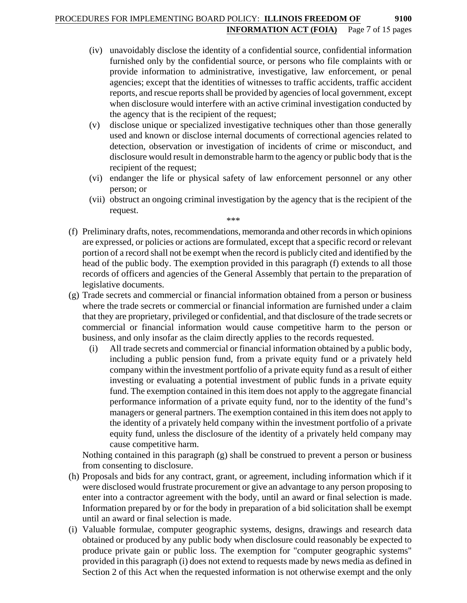### PROCEDURES FOR IMPLEMENTING BOARD POLICY: **ILLINOIS FREEDOM OF 9100 INFORMATION ACT (FOIA)** Page 7 of 15 pages

- (iv) unavoidably disclose the identity of a confidential source, confidential information furnished only by the confidential source, or persons who file complaints with or provide information to administrative, investigative, law enforcement, or penal agencies; except that the identities of witnesses to traffic accidents, traffic accident reports, and rescue reports shall be provided by agencies of local government, except when disclosure would interfere with an active criminal investigation conducted by the agency that is the recipient of the request;
- (v) disclose unique or specialized investigative techniques other than those generally used and known or disclose internal documents of correctional agencies related to detection, observation or investigation of incidents of crime or misconduct, and disclosure would result in demonstrable harm to the agency or public body that is the recipient of the request;
- (vi) endanger the life or physical safety of law enforcement personnel or any other person; or
- (vii) obstruct an ongoing criminal investigation by the agency that is the recipient of the request. \*\*\*

(f) Preliminary drafts, notes, recommendations, memoranda and other records in which opinions are expressed, or policies or actions are formulated, except that a specific record or relevant portion of a record shall not be exempt when the record is publicly cited and identified by the head of the public body. The exemption provided in this paragraph (f) extends to all those records of officers and agencies of the General Assembly that pertain to the preparation of legislative documents.

- (g) Trade secrets and commercial or financial information obtained from a person or business where the trade secrets or commercial or financial information are furnished under a claim that they are proprietary, privileged or confidential, and that disclosure of the trade secrets or commercial or financial information would cause competitive harm to the person or business, and only insofar as the claim directly applies to the records requested.
	- (i) All trade secrets and commercial or financial information obtained by a public body, including a public pension fund, from a private equity fund or a privately held company within the investment portfolio of a private equity fund as a result of either investing or evaluating a potential investment of public funds in a private equity fund. The exemption contained in this item does not apply to the aggregate financial performance information of a private equity fund, nor to the identity of the fund's managers or general partners. The exemption contained in this item does not apply to the identity of a privately held company within the investment portfolio of a private equity fund, unless the disclosure of the identity of a privately held company may cause competitive harm.

Nothing contained in this paragraph (g) shall be construed to prevent a person or business from consenting to disclosure.

- (h) Proposals and bids for any contract, grant, or agreement, including information which if it were disclosed would frustrate procurement or give an advantage to any person proposing to enter into a contractor agreement with the body, until an award or final selection is made. Information prepared by or for the body in preparation of a bid solicitation shall be exempt until an award or final selection is made.
- (i) Valuable formulae, computer geographic systems, designs, drawings and research data obtained or produced by any public body when disclosure could reasonably be expected to produce private gain or public loss. The exemption for "computer geographic systems" provided in this paragraph (i) does not extend to requests made by news media as defined in Section 2 of this Act when the requested information is not otherwise exempt and the only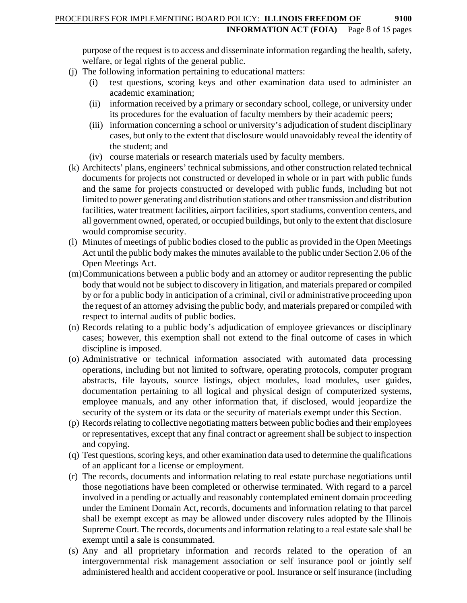purpose of the request is to access and disseminate information regarding the health, safety, welfare, or legal rights of the general public.

- (j) The following information pertaining to educational matters:
	- (i) test questions, scoring keys and other examination data used to administer an academic examination;
	- (ii) information received by a primary or secondary school, college, or university under its procedures for the evaluation of faculty members by their academic peers;
	- (iii) information concerning a school or university's adjudication of student disciplinary cases, but only to the extent that disclosure would unavoidably reveal the identity of the student; and
	- (iv) course materials or research materials used by faculty members.
- (k) Architects' plans, engineers' technical submissions, and other construction related technical documents for projects not constructed or developed in whole or in part with public funds and the same for projects constructed or developed with public funds, including but not limited to power generating and distribution stations and other transmission and distribution facilities, water treatment facilities, airport facilities, sport stadiums, convention centers, and all government owned, operated, or occupied buildings, but only to the extent that disclosure would compromise security.
- (l) Minutes of meetings of public bodies closed to the public as provided in the Open Meetings Act until the public body makes the minutes available to the public under Section 2.06 of the Open Meetings Act.
- (m)Communications between a public body and an attorney or auditor representing the public body that would not be subject to discovery in litigation, and materials prepared or compiled by or for a public body in anticipation of a criminal, civil or administrative proceeding upon the request of an attorney advising the public body, and materials prepared or compiled with respect to internal audits of public bodies.
- (n) Records relating to a public body's adjudication of employee grievances or disciplinary cases; however, this exemption shall not extend to the final outcome of cases in which discipline is imposed.
- (o) Administrative or technical information associated with automated data processing operations, including but not limited to software, operating protocols, computer program abstracts, file layouts, source listings, object modules, load modules, user guides, documentation pertaining to all logical and physical design of computerized systems, employee manuals, and any other information that, if disclosed, would jeopardize the security of the system or its data or the security of materials exempt under this Section.
- (p) Records relating to collective negotiating matters between public bodies and their employees or representatives, except that any final contract or agreement shall be subject to inspection and copying.
- (q) Test questions, scoring keys, and other examination data used to determine the qualifications of an applicant for a license or employment.
- (r) The records, documents and information relating to real estate purchase negotiations until those negotiations have been completed or otherwise terminated. With regard to a parcel involved in a pending or actually and reasonably contemplated eminent domain proceeding under the Eminent Domain Act, records, documents and information relating to that parcel shall be exempt except as may be allowed under discovery rules adopted by the Illinois Supreme Court. The records, documents and information relating to a real estate sale shall be exempt until a sale is consummated.
- (s) Any and all proprietary information and records related to the operation of an intergovernmental risk management association or self insurance pool or jointly self administered health and accident cooperative or pool. Insurance or self insurance (including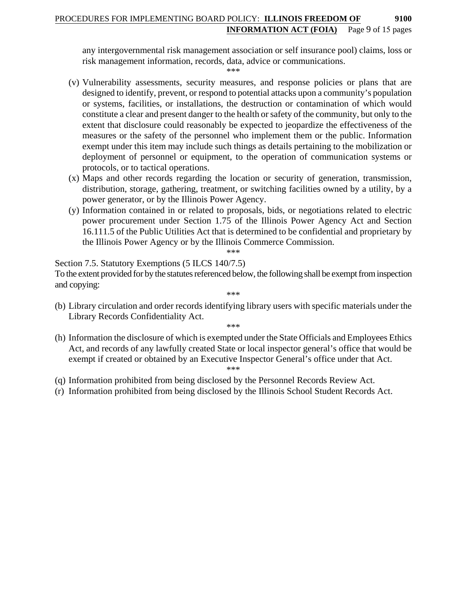### PROCEDURES FOR IMPLEMENTING BOARD POLICY: **ILLINOIS FREEDOM OF 9100 INFORMATION ACT (FOIA)** Page 9 of 15 pages

any intergovernmental risk management association or self insurance pool) claims, loss or risk management information, records, data, advice or communications.

\*\*\*

- (v) Vulnerability assessments, security measures, and response policies or plans that are designed to identify, prevent, or respond to potential attacks upon a community's population or systems, facilities, or installations, the destruction or contamination of which would constitute a clear and present danger to the health or safety of the community, but only to the extent that disclosure could reasonably be expected to jeopardize the effectiveness of the measures or the safety of the personnel who implement them or the public. Information exempt under this item may include such things as details pertaining to the mobilization or deployment of personnel or equipment, to the operation of communication systems or protocols, or to tactical operations.
- (x) Maps and other records regarding the location or security of generation, transmission, distribution, storage, gathering, treatment, or switching facilities owned by a utility, by a power generator, or by the Illinois Power Agency.
- (y) Information contained in or related to proposals, bids, or negotiations related to electric power procurement under Section 1.75 of the Illinois Power Agency Act and Section 16.111.5 of the Public Utilities Act that is determined to be confidential and proprietary by the Illinois Power Agency or by the Illinois Commerce Commission.

\*\*\*

Section 7.5. Statutory Exemptions (5 ILCS 140/7.5)

To the extent provided for by the statutes referenced below, the following shall be exempt from inspection and copying: \*\*\*

(b) Library circulation and order records identifying library users with specific materials under the Library Records Confidentiality Act.

\*\*\*

(h) Information the disclosure of which is exempted under the State Officials and Employees Ethics Act, and records of any lawfully created State or local inspector general's office that would be exempt if created or obtained by an Executive Inspector General's office under that Act.

\*\*\*

- (q) Information prohibited from being disclosed by the Personnel Records Review Act.
- (r) Information prohibited from being disclosed by the Illinois School Student Records Act.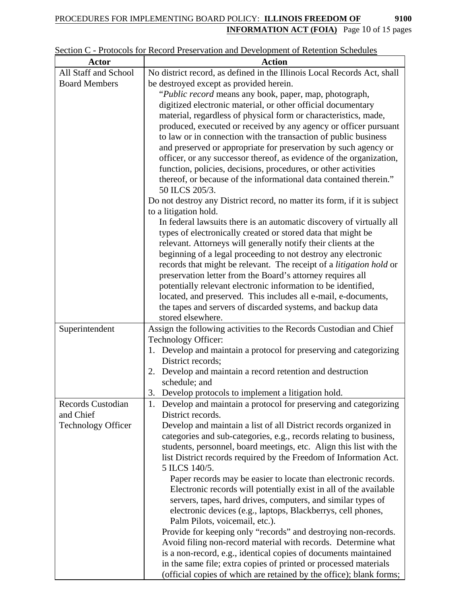## PROCEDURES FOR IMPLEMENTING BOARD POLICY: **ILLINOIS FREEDOM OF 9100 INFORMATION ACT (FOIA)** Page 10 of 15 pages

|                           | $\sigma$ because $\sigma$ . From the contract reservation and Development of Neterlinon Schedules                               |  |  |  |  |  |
|---------------------------|---------------------------------------------------------------------------------------------------------------------------------|--|--|--|--|--|
| Actor                     | <b>Action</b>                                                                                                                   |  |  |  |  |  |
| All Staff and School      | No district record, as defined in the Illinois Local Records Act, shall                                                         |  |  |  |  |  |
| <b>Board Members</b>      | be destroyed except as provided herein.                                                                                         |  |  |  |  |  |
|                           | "Public record means any book, paper, map, photograph,                                                                          |  |  |  |  |  |
|                           | digitized electronic material, or other official documentary                                                                    |  |  |  |  |  |
|                           | material, regardless of physical form or characteristics, made,                                                                 |  |  |  |  |  |
|                           | produced, executed or received by any agency or officer pursuant                                                                |  |  |  |  |  |
|                           | to law or in connection with the transaction of public business                                                                 |  |  |  |  |  |
|                           | and preserved or appropriate for preservation by such agency or                                                                 |  |  |  |  |  |
|                           |                                                                                                                                 |  |  |  |  |  |
|                           | officer, or any successor thereof, as evidence of the organization,                                                             |  |  |  |  |  |
|                           | function, policies, decisions, procedures, or other activities                                                                  |  |  |  |  |  |
|                           | thereof, or because of the informational data contained therein."<br>50 ILCS 205/3.                                             |  |  |  |  |  |
|                           | Do not destroy any District record, no matter its form, if it is subject                                                        |  |  |  |  |  |
|                           | to a litigation hold.                                                                                                           |  |  |  |  |  |
|                           | In federal lawsuits there is an automatic discovery of virtually all                                                            |  |  |  |  |  |
|                           |                                                                                                                                 |  |  |  |  |  |
|                           | types of electronically created or stored data that might be                                                                    |  |  |  |  |  |
|                           | relevant. Attorneys will generally notify their clients at the<br>beginning of a legal proceeding to not destroy any electronic |  |  |  |  |  |
|                           | records that might be relevant. The receipt of a <i>litigation hold</i> or                                                      |  |  |  |  |  |
|                           |                                                                                                                                 |  |  |  |  |  |
|                           | preservation letter from the Board's attorney requires all                                                                      |  |  |  |  |  |
|                           | potentially relevant electronic information to be identified,                                                                   |  |  |  |  |  |
|                           | located, and preserved. This includes all e-mail, e-documents,                                                                  |  |  |  |  |  |
|                           | the tapes and servers of discarded systems, and backup data                                                                     |  |  |  |  |  |
|                           | stored elsewhere.                                                                                                               |  |  |  |  |  |
| Superintendent            | Assign the following activities to the Records Custodian and Chief                                                              |  |  |  |  |  |
|                           | Technology Officer:                                                                                                             |  |  |  |  |  |
|                           | 1. Develop and maintain a protocol for preserving and categorizing                                                              |  |  |  |  |  |
|                           | District records;                                                                                                               |  |  |  |  |  |
|                           | 2. Develop and maintain a record retention and destruction                                                                      |  |  |  |  |  |
|                           | schedule; and<br>Develop protocols to implement a litigation hold.<br>3.                                                        |  |  |  |  |  |
| <b>Records Custodian</b>  | Develop and maintain a protocol for preserving and categorizing<br>1.                                                           |  |  |  |  |  |
| and Chief                 | District records.                                                                                                               |  |  |  |  |  |
| <b>Technology Officer</b> | Develop and maintain a list of all District records organized in                                                                |  |  |  |  |  |
|                           | categories and sub-categories, e.g., records relating to business,                                                              |  |  |  |  |  |
|                           | students, personnel, board meetings, etc. Align this list with the                                                              |  |  |  |  |  |
|                           |                                                                                                                                 |  |  |  |  |  |
|                           | list District records required by the Freedom of Information Act.<br>5 ILCS 140/5.                                              |  |  |  |  |  |
|                           | Paper records may be easier to locate than electronic records.                                                                  |  |  |  |  |  |
|                           | Electronic records will potentially exist in all of the available                                                               |  |  |  |  |  |
|                           | servers, tapes, hard drives, computers, and similar types of                                                                    |  |  |  |  |  |
|                           |                                                                                                                                 |  |  |  |  |  |
|                           | electronic devices (e.g., laptops, Blackberrys, cell phones,                                                                    |  |  |  |  |  |
|                           | Palm Pilots, voicemail, etc.).                                                                                                  |  |  |  |  |  |
|                           | Provide for keeping only "records" and destroying non-records.                                                                  |  |  |  |  |  |
|                           | Avoid filing non-record material with records. Determine what                                                                   |  |  |  |  |  |
|                           | is a non-record, e.g., identical copies of documents maintained                                                                 |  |  |  |  |  |
|                           | in the same file; extra copies of printed or processed materials                                                                |  |  |  |  |  |
|                           | (official copies of which are retained by the office); blank forms;                                                             |  |  |  |  |  |

| Section C - Protocols for Record Preservation and Development of Retention Schedules |
|--------------------------------------------------------------------------------------|
|--------------------------------------------------------------------------------------|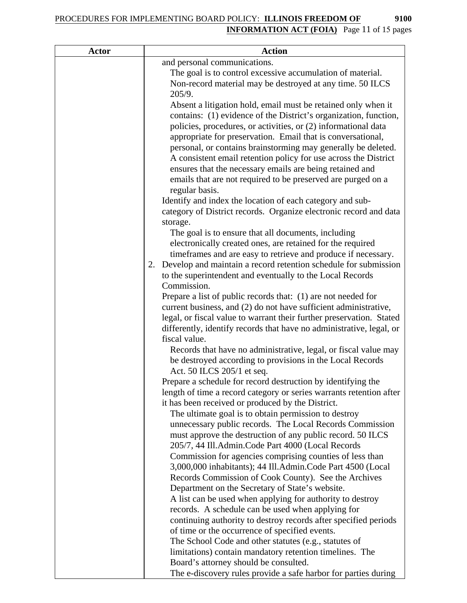| <b>Actor</b> | <b>Action</b>                                                                                                                    |  |  |  |
|--------------|----------------------------------------------------------------------------------------------------------------------------------|--|--|--|
|              | and personal communications.                                                                                                     |  |  |  |
|              | The goal is to control excessive accumulation of material.                                                                       |  |  |  |
|              | Non-record material may be destroyed at any time. 50 ILCS                                                                        |  |  |  |
|              | 205/9.                                                                                                                           |  |  |  |
|              | Absent a litigation hold, email must be retained only when it                                                                    |  |  |  |
|              | contains: (1) evidence of the District's organization, function,                                                                 |  |  |  |
|              | policies, procedures, or activities, or (2) informational data                                                                   |  |  |  |
|              | appropriate for preservation. Email that is conversational,                                                                      |  |  |  |
|              | personal, or contains brainstorming may generally be deleted.                                                                    |  |  |  |
|              | A consistent email retention policy for use across the District                                                                  |  |  |  |
|              | ensures that the necessary emails are being retained and                                                                         |  |  |  |
|              | emails that are not required to be preserved are purged on a                                                                     |  |  |  |
|              | regular basis.                                                                                                                   |  |  |  |
|              | Identify and index the location of each category and sub-                                                                        |  |  |  |
|              | category of District records. Organize electronic record and data                                                                |  |  |  |
|              | storage.                                                                                                                         |  |  |  |
|              | The goal is to ensure that all documents, including                                                                              |  |  |  |
|              | electronically created ones, are retained for the required                                                                       |  |  |  |
|              | timeframes and are easy to retrieve and produce if necessary.<br>Develop and maintain a record retention schedule for submission |  |  |  |
|              | 2.<br>to the superintendent and eventually to the Local Records                                                                  |  |  |  |
|              | Commission.                                                                                                                      |  |  |  |
|              | Prepare a list of public records that: $(1)$ are not needed for                                                                  |  |  |  |
|              | current business, and (2) do not have sufficient administrative,                                                                 |  |  |  |
|              | legal, or fiscal value to warrant their further preservation. Stated                                                             |  |  |  |
|              | differently, identify records that have no administrative, legal, or                                                             |  |  |  |
|              | fiscal value.                                                                                                                    |  |  |  |
|              | Records that have no administrative, legal, or fiscal value may                                                                  |  |  |  |
|              | be destroyed according to provisions in the Local Records                                                                        |  |  |  |
|              | Act. 50 ILCS 205/1 et seq.                                                                                                       |  |  |  |
|              | Prepare a schedule for record destruction by identifying the                                                                     |  |  |  |
|              | length of time a record category or series warrants retention after                                                              |  |  |  |
|              | it has been received or produced by the District.                                                                                |  |  |  |
|              | The ultimate goal is to obtain permission to destroy                                                                             |  |  |  |
|              | unnecessary public records. The Local Records Commission                                                                         |  |  |  |
|              | must approve the destruction of any public record. 50 ILCS                                                                       |  |  |  |
|              | 205/7, 44 Ill.Admin.Code Part 4000 (Local Records                                                                                |  |  |  |
|              | Commission for agencies comprising counties of less than                                                                         |  |  |  |
|              | 3,000,000 inhabitants); 44 Ill.Admin.Code Part 4500 (Local<br>Records Commission of Cook County). See the Archives               |  |  |  |
|              | Department on the Secretary of State's website.                                                                                  |  |  |  |
|              | A list can be used when applying for authority to destroy                                                                        |  |  |  |
|              | records. A schedule can be used when applying for                                                                                |  |  |  |
|              | continuing authority to destroy records after specified periods                                                                  |  |  |  |
|              | of time or the occurrence of specified events.                                                                                   |  |  |  |
|              | The School Code and other statutes (e.g., statutes of                                                                            |  |  |  |
|              | limitations) contain mandatory retention timelines. The                                                                          |  |  |  |
|              | Board's attorney should be consulted.                                                                                            |  |  |  |
|              | The e-discovery rules provide a safe harbor for parties during                                                                   |  |  |  |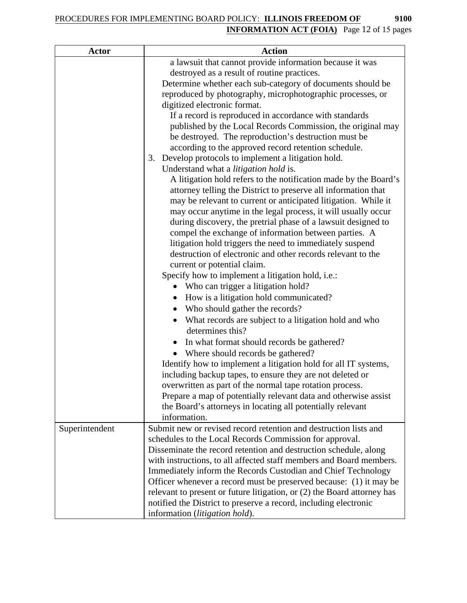## PROCEDURES FOR IMPLEMENTING BOARD POLICY: **ILLINOIS FREEDOM OF 9100 INFORMATION ACT (FOIA)** Page 12 of 15 pages

| Actor          | <b>Action</b>                                                           |  |  |  |  |
|----------------|-------------------------------------------------------------------------|--|--|--|--|
|                | a lawsuit that cannot provide information because it was                |  |  |  |  |
|                | destroyed as a result of routine practices.                             |  |  |  |  |
|                | Determine whether each sub-category of documents should be              |  |  |  |  |
|                | reproduced by photography, microphotographic processes, or              |  |  |  |  |
|                | digitized electronic format.                                            |  |  |  |  |
|                | If a record is reproduced in accordance with standards                  |  |  |  |  |
|                | published by the Local Records Commission, the original may             |  |  |  |  |
|                | be destroyed. The reproduction's destruction must be                    |  |  |  |  |
|                | according to the approved record retention schedule.                    |  |  |  |  |
|                | Develop protocols to implement a litigation hold.<br>3.                 |  |  |  |  |
|                | Understand what a <i>litigation hold</i> is.                            |  |  |  |  |
|                | A litigation hold refers to the notification made by the Board's        |  |  |  |  |
|                | attorney telling the District to preserve all information that          |  |  |  |  |
|                | may be relevant to current or anticipated litigation. While it          |  |  |  |  |
|                | may occur anytime in the legal process, it will usually occur           |  |  |  |  |
|                | during discovery, the pretrial phase of a lawsuit designed to           |  |  |  |  |
|                | compel the exchange of information between parties. A                   |  |  |  |  |
|                | litigation hold triggers the need to immediately suspend                |  |  |  |  |
|                | destruction of electronic and other records relevant to the             |  |  |  |  |
|                | current or potential claim.                                             |  |  |  |  |
|                | Specify how to implement a litigation hold, i.e.:                       |  |  |  |  |
|                | • Who can trigger a litigation hold?                                    |  |  |  |  |
|                | How is a litigation hold communicated?<br>$\bullet$                     |  |  |  |  |
|                | Who should gather the records?<br>$\bullet$                             |  |  |  |  |
|                | What records are subject to a litigation hold and who                   |  |  |  |  |
|                | determines this?                                                        |  |  |  |  |
|                | In what format should records be gathered?<br>$\bullet$                 |  |  |  |  |
|                | Where should records be gathered?<br>٠                                  |  |  |  |  |
|                | Identify how to implement a litigation hold for all IT systems,         |  |  |  |  |
|                | including backup tapes, to ensure they are not deleted or               |  |  |  |  |
|                | overwritten as part of the normal tape rotation process.                |  |  |  |  |
|                | Prepare a map of potentially relevant data and otherwise assist         |  |  |  |  |
|                | the Board's attorneys in locating all potentially relevant              |  |  |  |  |
|                | information.                                                            |  |  |  |  |
| Superintendent | Submit new or revised record retention and destruction lists and        |  |  |  |  |
|                | schedules to the Local Records Commission for approval.                 |  |  |  |  |
|                | Disseminate the record retention and destruction schedule, along        |  |  |  |  |
|                | with instructions, to all affected staff members and Board members.     |  |  |  |  |
|                | Immediately inform the Records Custodian and Chief Technology           |  |  |  |  |
|                | Officer whenever a record must be preserved because: (1) it may be      |  |  |  |  |
|                | relevant to present or future litigation, or (2) the Board attorney has |  |  |  |  |
|                | notified the District to preserve a record, including electronic        |  |  |  |  |
|                | information (litigation hold).                                          |  |  |  |  |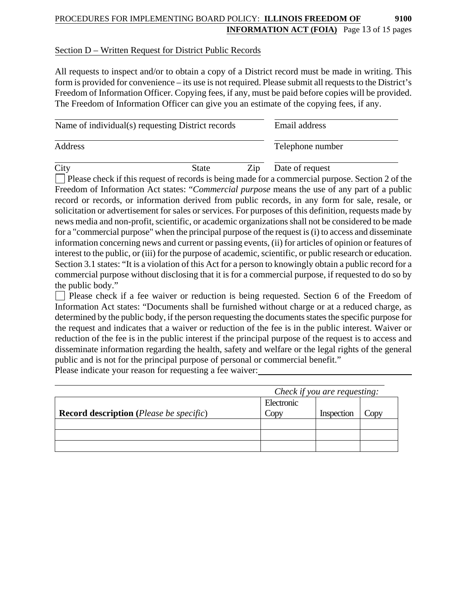### PROCEDURES FOR IMPLEMENTING BOARD POLICY: **ILLINOIS FREEDOM OF 9100 INFORMATION ACT (FOIA)** Page 13 of 15 pages

#### Section D – Written Request for District Public Records

All requests to inspect and/or to obtain a copy of a District record must be made in writing. This form is provided for convenience – its use is not required. Please submit all requests to the District's Freedom of Information Officer. Copying fees, if any, must be paid before copies will be provided. The Freedom of Information Officer can give you an estimate of the copying fees, if any.

| Name of individual(s) requesting District records |       |     | Email address    |  |
|---------------------------------------------------|-------|-----|------------------|--|
| Address                                           |       |     | Telephone number |  |
| City                                              | State | Zip | Date of request  |  |

 $\Box$  Please check if this request of records is being made for a commercial purpose. Section 2 of the Freedom of Information Act states: "*Commercial purpose* means the use of any part of a public record or records, or information derived from public records, in any form for sale, resale, or solicitation or advertisement for sales or services. For purposes of this definition, requests made by news media and non-profit, scientific, or academic organizations shall not be considered to be made for a "commercial purpose" when the principal purpose of the request is (i) to access and disseminate information concerning news and current or passing events, (ii) for articles of opinion or features of interest to the public, or (iii) for the purpose of academic, scientific, or public research or education. Section 3.1 states: "It is a violation of this Act for a person to knowingly obtain a public record for a commercial purpose without disclosing that it is for a commercial purpose, if requested to do so by the public body."

 Please check if a fee waiver or reduction is being requested. Section 6 of the Freedom of Information Act states: "Documents shall be furnished without charge or at a reduced charge, as determined by the public body, if the person requesting the documents states the specific purpose for the request and indicates that a waiver or reduction of the fee is in the public interest. Waiver or reduction of the fee is in the public interest if the principal purpose of the request is to access and disseminate information regarding the health, safety and welfare or the legal rights of the general public and is not for the principal purpose of personal or commercial benefit."

Please indicate your reason for requesting a fee waiver:

|                                                         |            | Check if you are requesting: |      |
|---------------------------------------------------------|------------|------------------------------|------|
|                                                         | Electronic |                              |      |
| <b>Record description</b> ( <i>Please be specific</i> ) | `onv       | Inspection                   | `opv |
|                                                         |            |                              |      |
|                                                         |            |                              |      |
|                                                         |            |                              |      |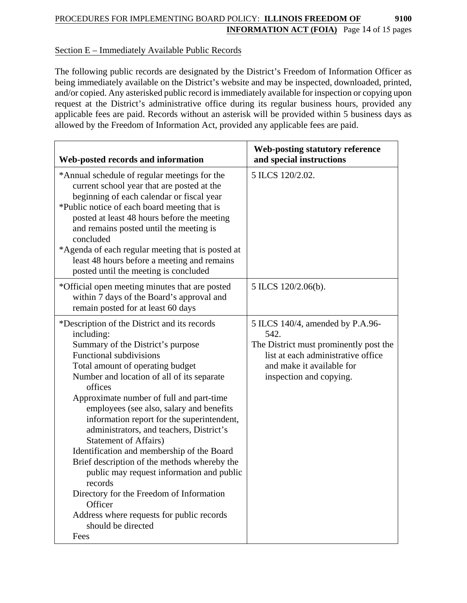### PROCEDURES FOR IMPLEMENTING BOARD POLICY: **ILLINOIS FREEDOM OF 9100 INFORMATION ACT (FOIA)** Page 14 of 15 pages

#### Section E – Immediately Available Public Records

The following public records are designated by the District's Freedom of Information Officer as being immediately available on the District's website and may be inspected, downloaded, printed, and/or copied. Any asterisked public record is immediately available for inspection or copying upon request at the District's administrative office during its regular business hours, provided any applicable fees are paid. Records without an asterisk will be provided within 5 business days as allowed by the Freedom of Information Act, provided any applicable fees are paid.

| Web-posted records and information                                                                                                                                                                                                                                                                                                                                                                                                                                                                                                                                                                                                                                                                                                 | <b>Web-posting statutory reference</b><br>and special instructions                                                                                                               |
|------------------------------------------------------------------------------------------------------------------------------------------------------------------------------------------------------------------------------------------------------------------------------------------------------------------------------------------------------------------------------------------------------------------------------------------------------------------------------------------------------------------------------------------------------------------------------------------------------------------------------------------------------------------------------------------------------------------------------------|----------------------------------------------------------------------------------------------------------------------------------------------------------------------------------|
| *Annual schedule of regular meetings for the<br>current school year that are posted at the<br>beginning of each calendar or fiscal year<br>*Public notice of each board meeting that is<br>posted at least 48 hours before the meeting<br>and remains posted until the meeting is<br>concluded<br>*Agenda of each regular meeting that is posted at<br>least 48 hours before a meeting and remains<br>posted until the meeting is concluded                                                                                                                                                                                                                                                                                        | 5 ILCS 120/2.02.                                                                                                                                                                 |
| *Official open meeting minutes that are posted<br>within 7 days of the Board's approval and<br>remain posted for at least 60 days                                                                                                                                                                                                                                                                                                                                                                                                                                                                                                                                                                                                  | 5 ILCS 120/2.06(b).                                                                                                                                                              |
| *Description of the District and its records<br>including:<br>Summary of the District's purpose<br>Functional subdivisions<br>Total amount of operating budget<br>Number and location of all of its separate<br>offices<br>Approximate number of full and part-time<br>employees (see also, salary and benefits<br>information report for the superintendent,<br>administrators, and teachers, District's<br><b>Statement of Affairs</b> )<br>Identification and membership of the Board<br>Brief description of the methods whereby the<br>public may request information and public<br>records<br>Directory for the Freedom of Information<br>Officer<br>Address where requests for public records<br>should be directed<br>Fees | 5 ILCS 140/4, amended by P.A.96-<br>542.<br>The District must prominently post the<br>list at each administrative office<br>and make it available for<br>inspection and copying. |